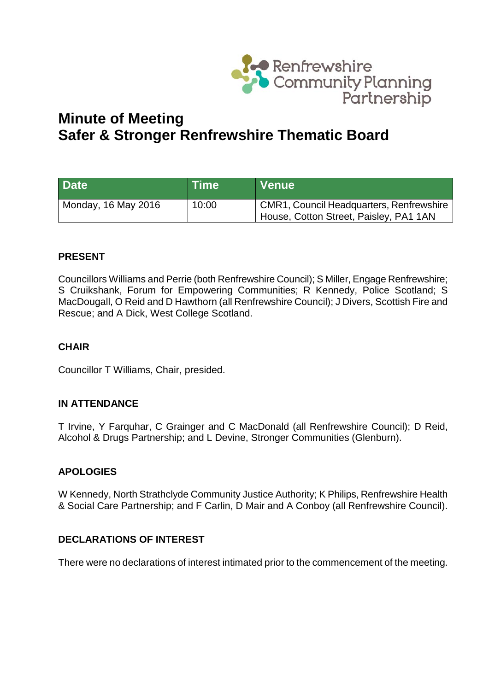

# **Minute of Meeting Safer & Stronger Renfrewshire Thematic Board**

| <b>Date</b>         | <b>Time</b> | Venue                                                                                |
|---------------------|-------------|--------------------------------------------------------------------------------------|
| Monday, 16 May 2016 | 10:00       | CMR1, Council Headquarters, Renfrewshire  <br>House, Cotton Street, Paisley, PA1 1AN |

# **PRESENT**

Councillors Williams and Perrie (both Renfrewshire Council); S Miller, Engage Renfrewshire; S Cruikshank, Forum for Empowering Communities; R Kennedy, Police Scotland; S MacDougall, O Reid and D Hawthorn (all Renfrewshire Council); J Divers, Scottish Fire and Rescue; and A Dick, West College Scotland.

## **CHAIR**

Councillor T Williams, Chair, presided.

## **IN ATTENDANCE**

T Irvine, Y Farquhar, C Grainger and C MacDonald (all Renfrewshire Council); D Reid, Alcohol & Drugs Partnership; and L Devine, Stronger Communities (Glenburn).

## **APOLOGIES**

W Kennedy, North Strathclyde Community Justice Authority; K Philips, Renfrewshire Health & Social Care Partnership; and F Carlin, D Mair and A Conboy (all Renfrewshire Council).

## **DECLARATIONS OF INTEREST**

There were no declarations of interest intimated prior to the commencement of the meeting.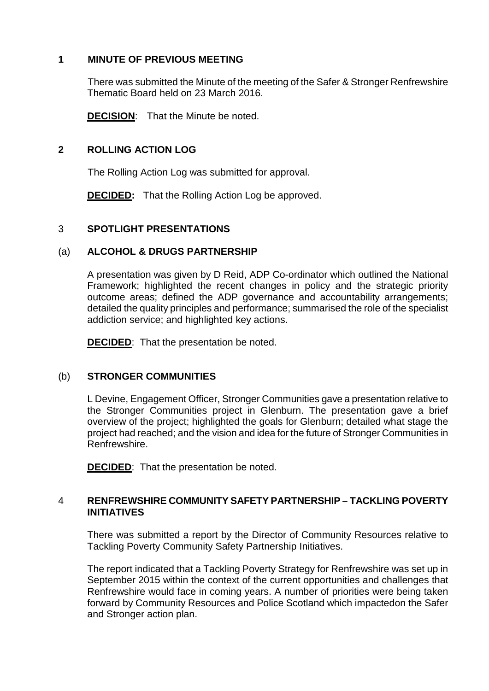## **1 MINUTE OF PREVIOUS MEETING**

There was submitted the Minute of the meeting of the Safer & Stronger Renfrewshire Thematic Board held on 23 March 2016.

**DECISION**: That the Minute be noted.

## **2 ROLLING ACTION LOG**

The Rolling Action Log was submitted for approval.

**DECIDED:** That the Rolling Action Log be approved.

## 3 **SPOTLIGHT PRESENTATIONS**

## (a) **ALCOHOL & DRUGS PARTNERSHIP**

A presentation was given by D Reid, ADP Co-ordinator which outlined the National Framework; highlighted the recent changes in policy and the strategic priority outcome areas; defined the ADP governance and accountability arrangements; detailed the quality principles and performance; summarised the role of the specialist addiction service; and highlighted key actions.

**DECIDED**: That the presentation be noted.

# (b) **STRONGER COMMUNITIES**

L Devine, Engagement Officer, Stronger Communities gave a presentation relative to the Stronger Communities project in Glenburn. The presentation gave a brief overview of the project; highlighted the goals for Glenburn; detailed what stage the project had reached; and the vision and idea for the future of Stronger Communities in Renfrewshire.

**DECIDED**: That the presentation be noted.

## 4 **RENFREWSHIRE COMMUNITY SAFETY PARTNERSHIP – TACKLING POVERTY INITIATIVES**

There was submitted a report by the Director of Community Resources relative to Tackling Poverty Community Safety Partnership Initiatives.

The report indicated that a Tackling Poverty Strategy for Renfrewshire was set up in September 2015 within the context of the current opportunities and challenges that Renfrewshire would face in coming years. A number of priorities were being taken forward by Community Resources and Police Scotland which impactedon the Safer and Stronger action plan.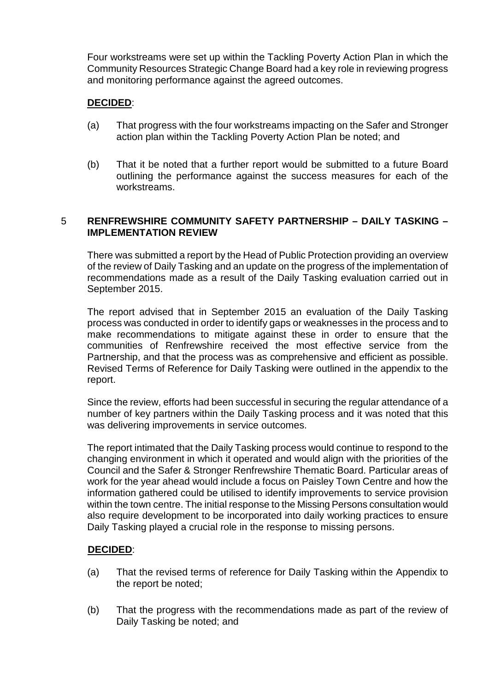Four workstreams were set up within the Tackling Poverty Action Plan in which the Community Resources Strategic Change Board had a key role in reviewing progress and monitoring performance against the agreed outcomes.

## **DECIDED**:

- (a) That progress with the four workstreams impacting on the Safer and Stronger action plan within the Tackling Poverty Action Plan be noted; and
- (b) That it be noted that a further report would be submitted to a future Board outlining the performance against the success measures for each of the workstreams.

## 5 **RENFREWSHIRE COMMUNITY SAFETY PARTNERSHIP – DAILY TASKING – IMPLEMENTATION REVIEW**

There was submitted a report by the Head of Public Protection providing an overview of the review of Daily Tasking and an update on the progress of the implementation of recommendations made as a result of the Daily Tasking evaluation carried out in September 2015.

The report advised that in September 2015 an evaluation of the Daily Tasking process was conducted in order to identify gaps or weaknesses in the process and to make recommendations to mitigate against these in order to ensure that the communities of Renfrewshire received the most effective service from the Partnership, and that the process was as comprehensive and efficient as possible. Revised Terms of Reference for Daily Tasking were outlined in the appendix to the report.

Since the review, efforts had been successful in securing the regular attendance of a number of key partners within the Daily Tasking process and it was noted that this was delivering improvements in service outcomes.

The report intimated that the Daily Tasking process would continue to respond to the changing environment in which it operated and would align with the priorities of the Council and the Safer & Stronger Renfrewshire Thematic Board. Particular areas of work for the year ahead would include a focus on Paisley Town Centre and how the information gathered could be utilised to identify improvements to service provision within the town centre. The initial response to the Missing Persons consultation would also require development to be incorporated into daily working practices to ensure Daily Tasking played a crucial role in the response to missing persons.

## **DECIDED**:

- (a) That the revised terms of reference for Daily Tasking within the Appendix to the report be noted;
- (b) That the progress with the recommendations made as part of the review of Daily Tasking be noted; and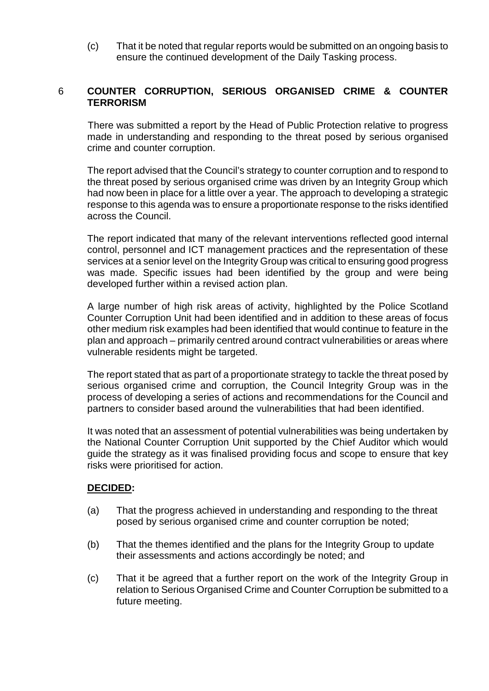(c) That it be noted that regular reports would be submitted on an ongoing basis to ensure the continued development of the Daily Tasking process.

## 6 **COUNTER CORRUPTION, SERIOUS ORGANISED CRIME & COUNTER TERRORISM**

There was submitted a report by the Head of Public Protection relative to progress made in understanding and responding to the threat posed by serious organised crime and counter corruption.

The report advised that the Council's strategy to counter corruption and to respond to the threat posed by serious organised crime was driven by an Integrity Group which had now been in place for a little over a year. The approach to developing a strategic response to this agenda was to ensure a proportionate response to the risks identified across the Council.

The report indicated that many of the relevant interventions reflected good internal control, personnel and ICT management practices and the representation of these services at a senior level on the Integrity Group was critical to ensuring good progress was made. Specific issues had been identified by the group and were being developed further within a revised action plan.

A large number of high risk areas of activity, highlighted by the Police Scotland Counter Corruption Unit had been identified and in addition to these areas of focus other medium risk examples had been identified that would continue to feature in the plan and approach – primarily centred around contract vulnerabilities or areas where vulnerable residents might be targeted.

The report stated that as part of a proportionate strategy to tackle the threat posed by serious organised crime and corruption, the Council Integrity Group was in the process of developing a series of actions and recommendations for the Council and partners to consider based around the vulnerabilities that had been identified.

It was noted that an assessment of potential vulnerabilities was being undertaken by the National Counter Corruption Unit supported by the Chief Auditor which would guide the strategy as it was finalised providing focus and scope to ensure that key risks were prioritised for action.

## **DECIDED:**

- (a) That the progress achieved in understanding and responding to the threat posed by serious organised crime and counter corruption be noted;
- (b) That the themes identified and the plans for the Integrity Group to update their assessments and actions accordingly be noted; and
- (c) That it be agreed that a further report on the work of the Integrity Group in relation to Serious Organised Crime and Counter Corruption be submitted to a future meeting.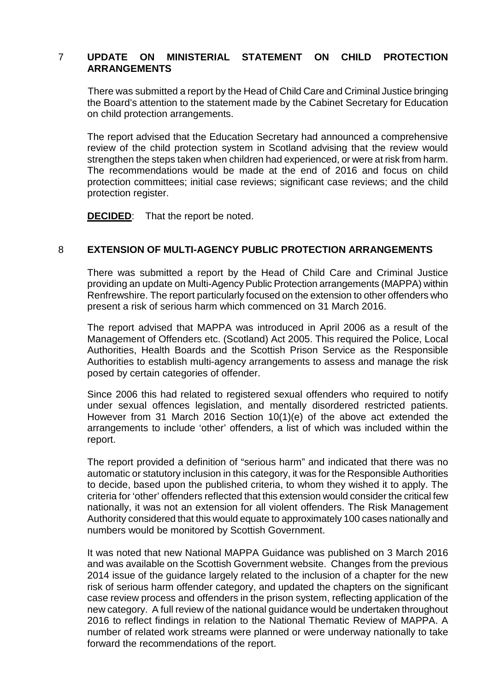## 7 **UPDATE ON MINISTERIAL STATEMENT ON CHILD PROTECTION ARRANGEMENTS**

There was submitted a report by the Head of Child Care and Criminal Justice bringing the Board's attention to the statement made by the Cabinet Secretary for Education on child protection arrangements.

The report advised that the Education Secretary had announced a comprehensive review of the child protection system in Scotland advising that the review would strengthen the steps taken when children had experienced, or were at risk from harm. The recommendations would be made at the end of 2016 and focus on child protection committees; initial case reviews; significant case reviews; and the child protection register.

**DECIDED**: That the report be noted.

## 8 **EXTENSION OF MULTI-AGENCY PUBLIC PROTECTION ARRANGEMENTS**

There was submitted a report by the Head of Child Care and Criminal Justice providing an update on Multi-Agency Public Protection arrangements (MAPPA) within Renfrewshire. The report particularly focused on the extension to other offenders who present a risk of serious harm which commenced on 31 March 2016.

The report advised that MAPPA was introduced in April 2006 as a result of the Management of Offenders etc. (Scotland) Act 2005. This required the Police, Local Authorities, Health Boards and the Scottish Prison Service as the Responsible Authorities to establish multi-agency arrangements to assess and manage the risk posed by certain categories of offender.

Since 2006 this had related to registered sexual offenders who required to notify under sexual offences legislation, and mentally disordered restricted patients. However from 31 March 2016 Section 10(1)(e) of the above act extended the arrangements to include 'other' offenders, a list of which was included within the report.

The report provided a definition of "serious harm" and indicated that there was no automatic or statutory inclusion in this category, it was for the Responsible Authorities to decide, based upon the published criteria, to whom they wished it to apply. The criteria for 'other' offenders reflected that this extension would consider the critical few nationally, it was not an extension for all violent offenders. The Risk Management Authority considered that this would equate to approximately 100 cases nationally and numbers would be monitored by Scottish Government.

It was noted that new National MAPPA Guidance was published on 3 March 2016 and was available on the Scottish Government website. Changes from the previous 2014 issue of the guidance largely related to the inclusion of a chapter for the new risk of serious harm offender category, and updated the chapters on the significant case review process and offenders in the prison system, reflecting application of the new category. A full review of the national guidance would be undertaken throughout 2016 to reflect findings in relation to the National Thematic Review of MAPPA. A number of related work streams were planned or were underway nationally to take forward the recommendations of the report.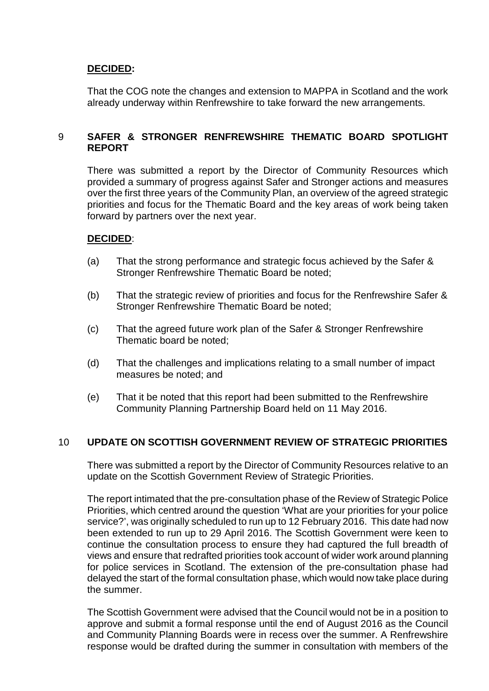## **DECIDED:**

That the COG note the changes and extension to MAPPA in Scotland and the work already underway within Renfrewshire to take forward the new arrangements.

## 9 **SAFER & STRONGER RENFREWSHIRE THEMATIC BOARD SPOTLIGHT REPORT**

There was submitted a report by the Director of Community Resources which provided a summary of progress against Safer and Stronger actions and measures over the first three years of the Community Plan, an overview of the agreed strategic priorities and focus for the Thematic Board and the key areas of work being taken forward by partners over the next year.

## **DECIDED**:

- (a) That the strong performance and strategic focus achieved by the Safer & Stronger Renfrewshire Thematic Board be noted;
- (b) That the strategic review of priorities and focus for the Renfrewshire Safer & Stronger Renfrewshire Thematic Board be noted;
- (c) That the agreed future work plan of the Safer & Stronger Renfrewshire Thematic board be noted;
- (d) That the challenges and implications relating to a small number of impact measures be noted; and
- (e) That it be noted that this report had been submitted to the Renfrewshire Community Planning Partnership Board held on 11 May 2016.

## 10 **UPDATE ON SCOTTISH GOVERNMENT REVIEW OF STRATEGIC PRIORITIES**

There was submitted a report by the Director of Community Resources relative to an update on the Scottish Government Review of Strategic Priorities.

The report intimated that the pre-consultation phase of the Review of Strategic Police Priorities, which centred around the question 'What are your priorities for your police service?', was originally scheduled to run up to 12 February 2016. This date had now been extended to run up to 29 April 2016. The Scottish Government were keen to continue the consultation process to ensure they had captured the full breadth of views and ensure that redrafted priorities took account of wider work around planning for police services in Scotland. The extension of the pre-consultation phase had delayed the start of the formal consultation phase, which would now take place during the summer.

The Scottish Government were advised that the Council would not be in a position to approve and submit a formal response until the end of August 2016 as the Council and Community Planning Boards were in recess over the summer. A Renfrewshire response would be drafted during the summer in consultation with members of the